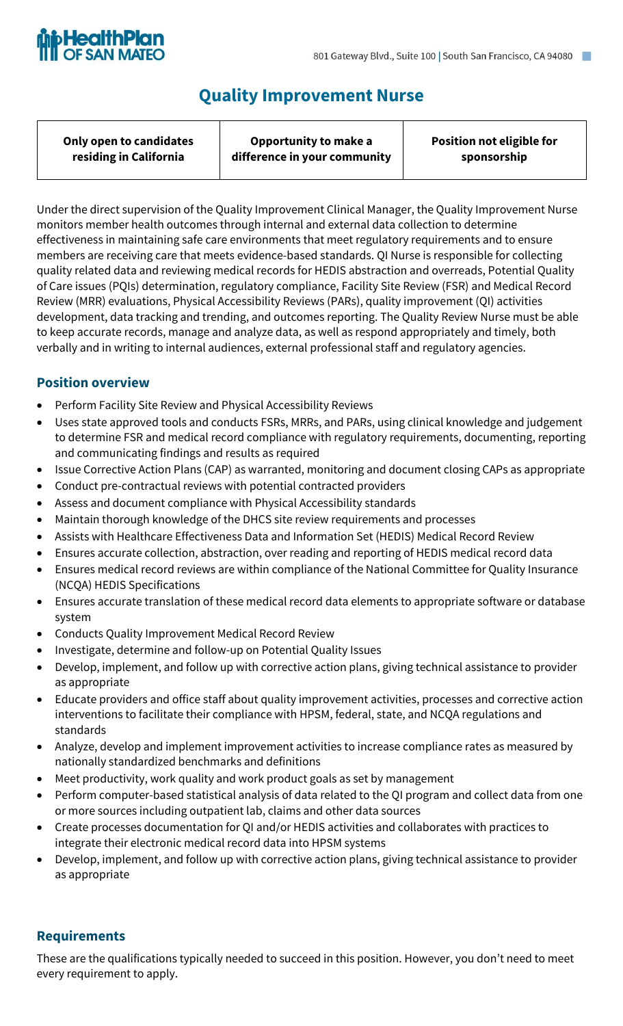

# **Quality Improvement Nurse**

| Only open to candidates | Opportunity to make a        | <b>Position not eligible for</b> |
|-------------------------|------------------------------|----------------------------------|
| residing in California  | difference in your community | sponsorship                      |
|                         |                              |                                  |

Under the direct supervision of the Quality Improvement Clinical Manager, the Quality Improvement Nurse monitors member health outcomes through internal and external data collection to determine effectiveness in maintaining safe care environments that meet regulatory requirements and to ensure members are receiving care that meets evidence-based standards. QI Nurse is responsible for collecting quality related data and reviewing medical records for HEDIS abstraction and overreads, Potential Quality of Care issues (PQIs) determination, regulatory compliance, Facility Site Review (FSR) and Medical Record Review (MRR) evaluations, Physical Accessibility Reviews (PARs), quality improvement (QI) activities development, data tracking and trending, and outcomes reporting. The Quality Review Nurse must be able to keep accurate records, manage and analyze data, as well as respond appropriately and timely, both verbally and in writing to internal audiences, external professional staff and regulatory agencies.

# **Position overview**

- Perform Facility Site Review and Physical Accessibility Reviews
- Uses state approved tools and conducts FSRs, MRRs, and PARs, using clinical knowledge and judgement to determine FSR and medical record compliance with regulatory requirements, documenting, reporting and communicating findings and results as required
- Issue Corrective Action Plans (CAP) as warranted, monitoring and document closing CAPs as appropriate
- Conduct pre-contractual reviews with potential contracted providers
- Assess and document compliance with Physical Accessibility standards
- Maintain thorough knowledge of the DHCS site review requirements and processes
- Assists with Healthcare Effectiveness Data and Information Set (HEDIS) Medical Record Review
- Ensures accurate collection, abstraction, over reading and reporting of HEDIS medical record data
- Ensures medical record reviews are within compliance of the National Committee for Quality Insurance (NCQA) HEDIS Specifications
- Ensures accurate translation of these medical record data elements to appropriate software or database system
- Conducts Quality Improvement Medical Record Review
- Investigate, determine and follow-up on Potential Quality Issues
- Develop, implement, and follow up with corrective action plans, giving technical assistance to provider as appropriate
- Educate providers and office staff about quality improvement activities, processes and corrective action interventions to facilitate their compliance with HPSM, federal, state, and NCQA regulations and standards
- Analyze, develop and implement improvement activities to increase compliance rates as measured by nationally standardized benchmarks and definitions
- Meet productivity, work quality and work product goals as set by management
- Perform computer-based statistical analysis of data related to the QI program and collect data from one or more sources including outpatient lab, claims and other data sources
- Create processes documentation for QI and/or HEDIS activities and collaborates with practices to integrate their electronic medical record data into HPSM systems
- Develop, implement, and follow up with corrective action plans, giving technical assistance to provider as appropriate

## **Requirements**

These are the qualifications typically needed to succeed in this position. However, you don't need to meet every requirement to apply.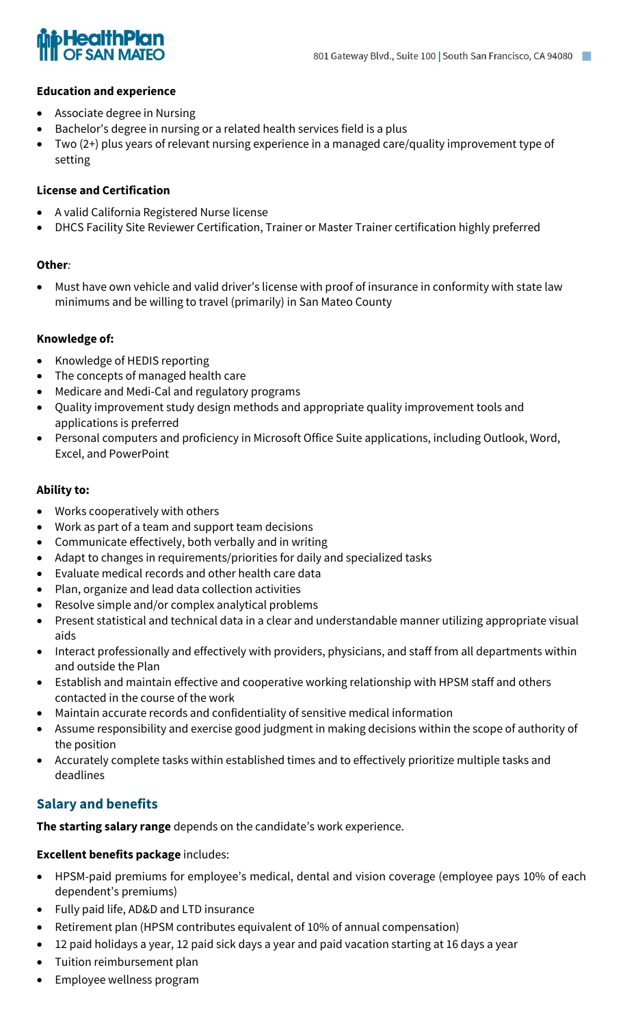

#### **Education and experience**

- Associate degree in Nursing
- Bachelor's degree in nursing or a related health services field is a plus
- Two (2+) plus years of relevant nursing experience in a managed care/quality improvement type of setting

#### **License and Certification**

- A valid California Registered Nurse license
- DHCS Facility Site Reviewer Certification, Trainer or Master Trainer certification highly preferred

#### **Other***:*

• Must have own vehicle and valid driver's license with proof of insurance in conformity with state law minimums and be willing to travel (primarily) in San Mateo County

#### **Knowledge of:**

- Knowledge of HEDIS reporting
- The concepts of managed health care
- Medicare and Medi-Cal and regulatory programs
- Quality improvement study design methods and appropriate quality improvement tools and applications is preferred
- Personal computers and proficiency in Microsoft Office Suite applications, including Outlook, Word, Excel, and PowerPoint

#### **Ability to:**

- Works cooperatively with others
- Work as part of a team and support team decisions
- Communicate effectively, both verbally and in writing
- Adapt to changes in requirements/priorities for daily and specialized tasks
- Evaluate medical records and other health care data
- Plan, organize and lead data collection activities
- Resolve simple and/or complex analytical problems
- Present statistical and technical data in a clear and understandable manner utilizing appropriate visual aids
- Interact professionally and effectively with providers, physicians, and staff from all departments within and outside the Plan
- Establish and maintain effective and cooperative working relationship with HPSM staff and others contacted in the course of the work
- Maintain accurate records and confidentiality of sensitive medical information
- Assume responsibility and exercise good judgment in making decisions within the scope of authority of the position
- Accurately complete tasks within established times and to effectively prioritize multiple tasks and deadlines

## **Salary and benefits**

**The starting salary range** depends on the candidate's work experience.

#### **Excellent benefits package** includes:

- HPSM-paid premiums for employee's medical, dental and vision coverage (employee pays 10% of each dependent's premiums)
- Fully paid life, AD&D and LTD insurance
- Retirement plan (HPSM contributes equivalent of 10% of annual compensation)
- 12 paid holidays a year, 12 paid sick days a year and paid vacation starting at 16 days a year
- Tuition reimbursement plan
- Employee wellness program